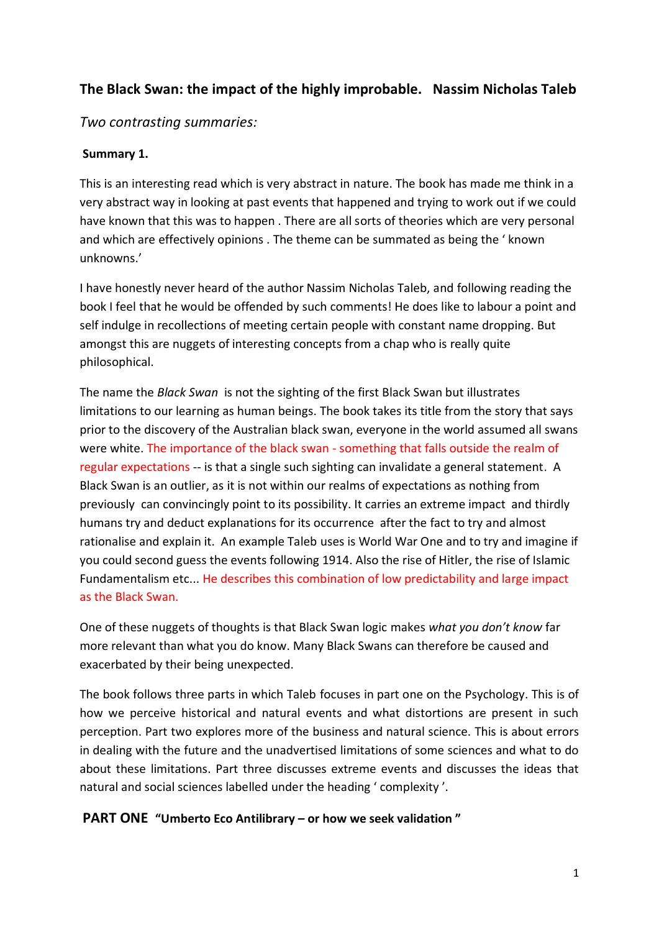# **The Black Swan: the impact of the highly improbable. Nassim Nicholas Taleb**

# *Two contrasting summaries:*

## **Summary 1.**

This is an interesting read which is very abstract in nature. The book has made me think in a very abstract way in looking at past events that happened and trying to work out if we could have known that this was to happen . There are all sorts of theories which are very personal and which are effectively opinions . The theme can be summated as being the ' known unknowns.'

I have honestly never heard of the author Nassim Nicholas Taleb, and following reading the book I feel that he would be offended by such comments! He does like to labour a point and self indulge in recollections of meeting certain people with constant name dropping. But amongst this are nuggets of interesting concepts from a chap who is really quite philosophical.

The name the *Black Swan* is not the sighting of the first Black Swan but illustrates limitations to our learning as human beings. The book takes its title from the story that says prior to the discovery of the Australian black swan, everyone in the world assumed all swans were white. The importance of the black swan - something that falls outside the realm of regular expectations -- is that a single such sighting can invalidate a general statement. A Black Swan is an outlier, as it is not within our realms of expectations as nothing from previously can convincingly point to its possibility. It carries an extreme impact and thirdly humans try and deduct explanations for its occurrence after the fact to try and almost rationalise and explain it. An example Taleb uses is World War One and to try and imagine if you could second guess the events following 1914. Also the rise of Hitler, the rise of Islamic Fundamentalism etc... He describes this combination of low predictability and large impact as the Black Swan.

One of these nuggets of thoughts is that Black Swan logic makes *what you don't know* far more relevant than what you do know. Many Black Swans can therefore be caused and exacerbated by their being unexpected.

The book follows three parts in which Taleb focuses in part one on the Psychology. This is of how we perceive historical and natural events and what distortions are present in such perception. Part two explores more of the business and natural science. This is about errors in dealing with the future and the unadvertised limitations of some sciences and what to do about these limitations. Part three discusses extreme events and discusses the ideas that natural and social sciences labelled under the heading ' complexity '.

# **PART ONE "Umberto Eco Antilibrary – or how we seek validation "**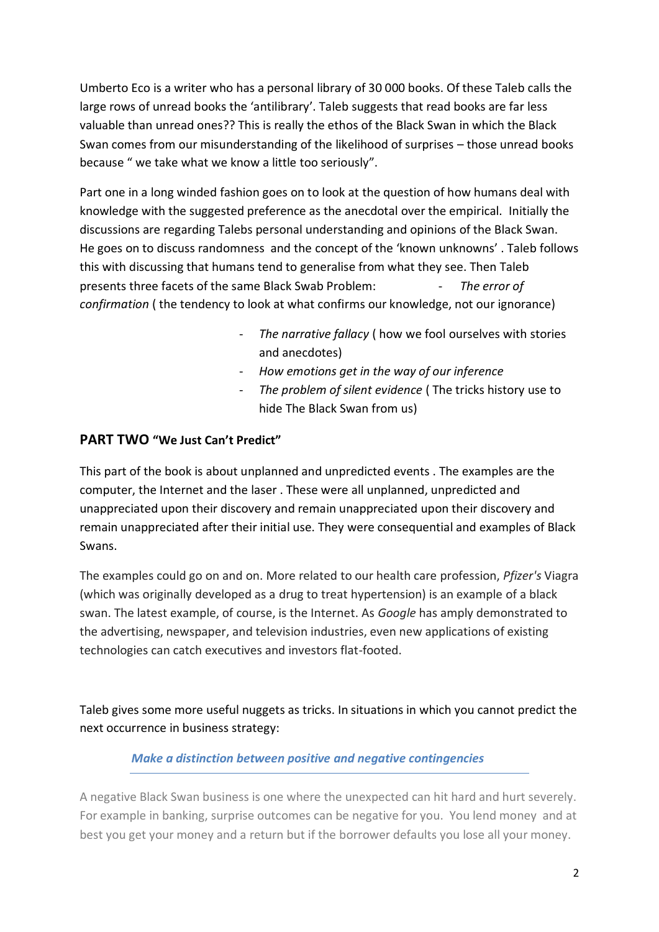Umberto Eco is a writer who has a personal library of 30 000 books. Of these Taleb calls the large rows of unread books the 'antilibrary'. Taleb suggests that read books are far less valuable than unread ones?? This is really the ethos of the Black Swan in which the Black Swan comes from our misunderstanding of the likelihood of surprises – those unread books because " we take what we know a little too seriously".

Part one in a long winded fashion goes on to look at the question of how humans deal with knowledge with the suggested preference as the anecdotal over the empirical. Initially the discussions are regarding Talebs personal understanding and opinions of the Black Swan. He goes on to discuss randomness and the concept of the 'known unknowns' . Taleb follows this with discussing that humans tend to generalise from what they see. Then Taleb presents three facets of the same Black Swab Problem: - *The error of confirmation* ( the tendency to look at what confirms our knowledge, not our ignorance)

- The narrative fallacy ( how we fool ourselves with stories and anecdotes)
- *How emotions get in the way of our inference*
- The problem of silent evidence (The tricks history use to hide The Black Swan from us)

# **PART TWO "We Just Can't Predict"**

This part of the book is about unplanned and unpredicted events . The examples are the computer, the Internet and the laser . These were all unplanned, unpredicted and unappreciated upon their discovery and remain unappreciated upon their discovery and remain unappreciated after their initial use. They were consequential and examples of Black Swans.

The examples could go on and on. More related to our health care profession, *Pfizer's* Viagra (which was originally developed as a drug to treat hypertension) is an example of a black swan. The latest example, of course, is the Internet. As *Google* has amply demonstrated to the advertising, newspaper, and television industries, even new applications of existing technologies can catch executives and investors flat-footed.

Taleb gives some more useful nuggets as tricks. In situations in which you cannot predict the next occurrence in business strategy:

# *Make a distinction between positive and negative contingencies*

A negative Black Swan business is one where the unexpected can hit hard and hurt severely. For example in banking, surprise outcomes can be negative for you. You lend money and at best you get your money and a return but if the borrower defaults you lose all your money.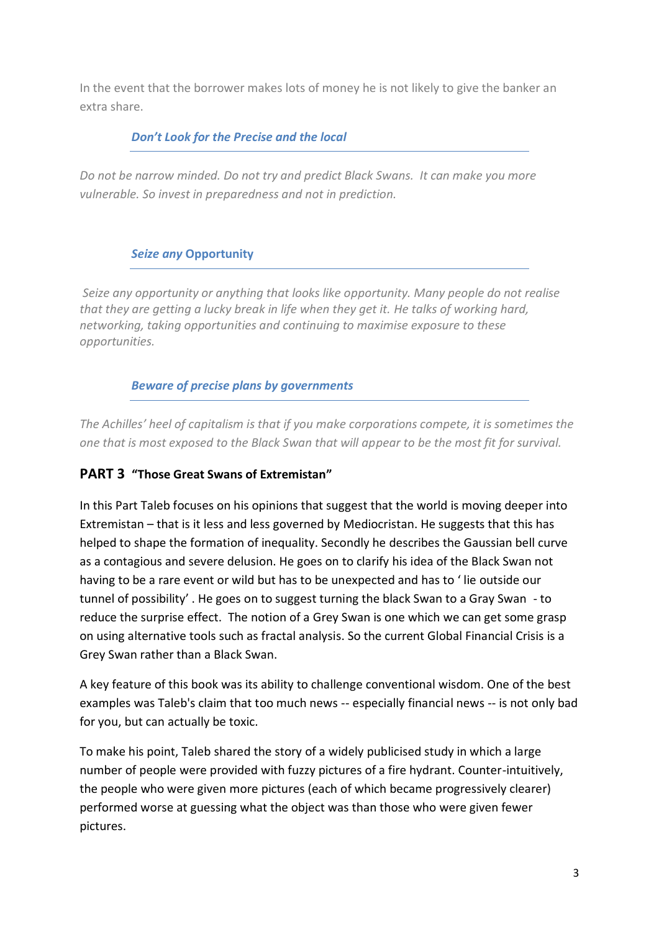In the event that the borrower makes lots of money he is not likely to give the banker an extra share.

# *Don't Look for the Precise and the local*

*Do not be narrow minded. Do not try and predict Black Swans. It can make you more vulnerable. So invest in preparedness and not in prediction.*

# *Seize any* **Opportunity**

*Seize any opportunity or anything that looks like opportunity. Many people do not realise that they are getting a lucky break in life when they get it. He talks of working hard, networking, taking opportunities and continuing to maximise exposure to these opportunities.*

# *Beware of precise plans by governments*

*The Achilles' heel of capitalism is that if you make corporations compete, it is sometimes the one that is most exposed to the Black Swan that will appear to be the most fit for survival.* 

# **PART 3 "Those Great Swans of Extremistan"**

In this Part Taleb focuses on his opinions that suggest that the world is moving deeper into Extremistan – that is it less and less governed by Mediocristan. He suggests that this has helped to shape the formation of inequality. Secondly he describes the Gaussian bell curve as a contagious and severe delusion. He goes on to clarify his idea of the Black Swan not having to be a rare event or wild but has to be unexpected and has to ' lie outside our tunnel of possibility' . He goes on to suggest turning the black Swan to a Gray Swan - to reduce the surprise effect. The notion of a Grey Swan is one which we can get some grasp on using alternative tools such as fractal analysis. So the current Global Financial Crisis is a Grey Swan rather than a Black Swan.

A key feature of this book was its ability to challenge conventional wisdom. One of the best examples was Taleb's claim that too much news -- especially financial news -- is not only bad for you, but can actually be toxic.

To make his point, Taleb shared the story of a widely publicised study in which a large number of people were provided with fuzzy pictures of a fire hydrant. Counter-intuitively, the people who were given more pictures (each of which became progressively clearer) performed worse at guessing what the object was than those who were given fewer pictures.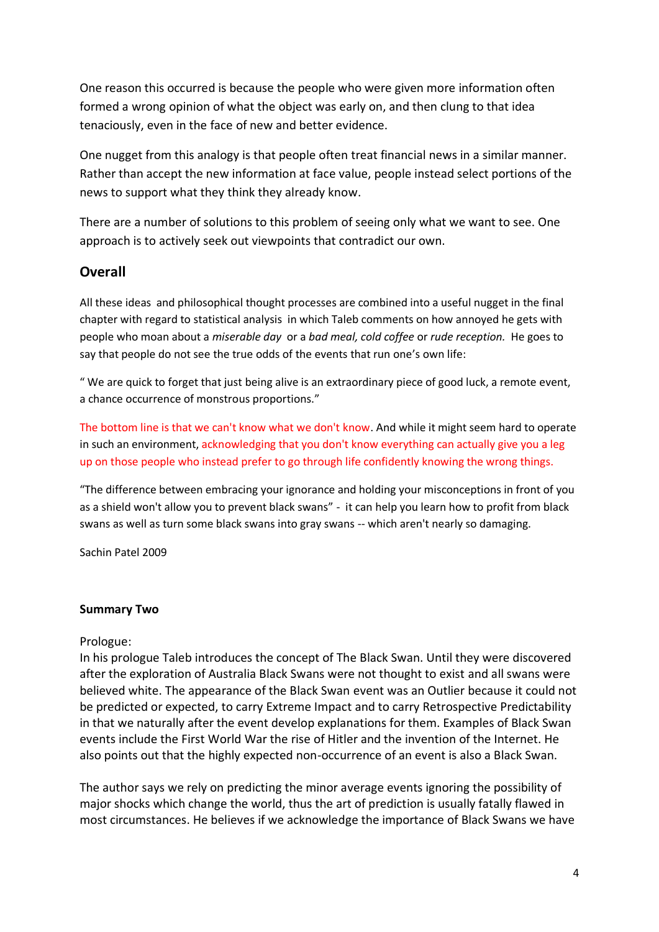One reason this occurred is because the people who were given more information often formed a wrong opinion of what the object was early on, and then clung to that idea tenaciously, even in the face of new and better evidence.

One nugget from this analogy is that people often treat financial news in a similar manner. Rather than accept the new information at face value, people instead select portions of the news to support what they think they already know.

There are a number of solutions to this problem of seeing only what we want to see. One approach is to actively seek out viewpoints that contradict our own.

# **Overall**

All these ideas and philosophical thought processes are combined into a useful nugget in the final chapter with regard to statistical analysis in which Taleb comments on how annoyed he gets with people who moan about a *miserable day* or a *bad meal, cold coffee* or *rude reception.* He goes to say that people do not see the true odds of the events that run one's own life:

" We are quick to forget that just being alive is an extraordinary piece of good luck, a remote event, a chance occurrence of monstrous proportions."

The bottom line is that we can't know what we don't know. And while it might seem hard to operate in such an environment, acknowledging that you don't know everything can actually give you a leg up on those people who instead prefer to go through life confidently knowing the wrong things.

"The difference between embracing your ignorance and holding your misconceptions in front of you as a shield won't allow you to prevent black swans" - it can help you learn how to profit from black swans as well as turn some black swans into gray swans -- which aren't nearly so damaging.

Sachin Patel 2009

#### **Summary Two**

#### Prologue:

In his prologue Taleb introduces the concept of The Black Swan. Until they were discovered after the exploration of Australia Black Swans were not thought to exist and all swans were believed white. The appearance of the Black Swan event was an Outlier because it could not be predicted or expected, to carry Extreme Impact and to carry Retrospective Predictability in that we naturally after the event develop explanations for them. Examples of Black Swan events include the First World War the rise of Hitler and the invention of the Internet. He also points out that the highly expected non-occurrence of an event is also a Black Swan.

The author says we rely on predicting the minor average events ignoring the possibility of major shocks which change the world, thus the art of prediction is usually fatally flawed in most circumstances. He believes if we acknowledge the importance of Black Swans we have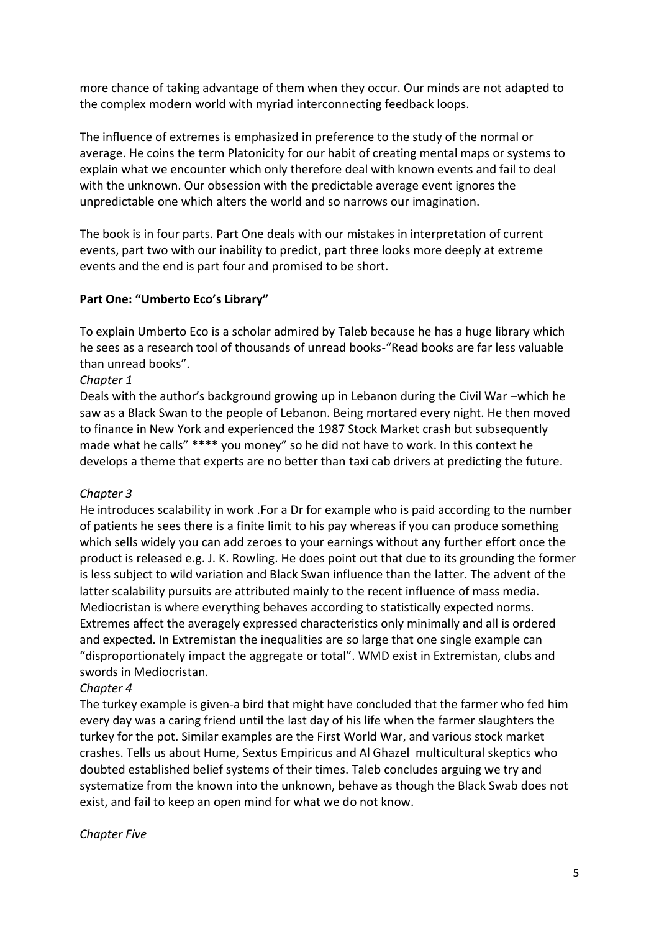more chance of taking advantage of them when they occur. Our minds are not adapted to the complex modern world with myriad interconnecting feedback loops.

The influence of extremes is emphasized in preference to the study of the normal or average. He coins the term Platonicity for our habit of creating mental maps or systems to explain what we encounter which only therefore deal with known events and fail to deal with the unknown. Our obsession with the predictable average event ignores the unpredictable one which alters the world and so narrows our imagination.

The book is in four parts. Part One deals with our mistakes in interpretation of current events, part two with our inability to predict, part three looks more deeply at extreme events and the end is part four and promised to be short.

### **Part One: "Umberto Eco's Library"**

To explain Umberto Eco is a scholar admired by Taleb because he has a huge library which he sees as a research tool of thousands of unread books-"Read books are far less valuable than unread books".

### *Chapter 1*

Deals with the author's background growing up in Lebanon during the Civil War –which he saw as a Black Swan to the people of Lebanon. Being mortared every night. He then moved to finance in New York and experienced the 1987 Stock Market crash but subsequently made what he calls" \*\*\*\* you money" so he did not have to work. In this context he develops a theme that experts are no better than taxi cab drivers at predicting the future.

### *Chapter 3*

He introduces scalability in work .For a Dr for example who is paid according to the number of patients he sees there is a finite limit to his pay whereas if you can produce something which sells widely you can add zeroes to your earnings without any further effort once the product is released e.g. J. K. Rowling. He does point out that due to its grounding the former is less subject to wild variation and Black Swan influence than the latter. The advent of the latter scalability pursuits are attributed mainly to the recent influence of mass media. Mediocristan is where everything behaves according to statistically expected norms. Extremes affect the averagely expressed characteristics only minimally and all is ordered and expected. In Extremistan the inequalities are so large that one single example can "disproportionately impact the aggregate or total". WMD exist in Extremistan, clubs and swords in Mediocristan.

### *Chapter 4*

The turkey example is given-a bird that might have concluded that the farmer who fed him every day was a caring friend until the last day of his life when the farmer slaughters the turkey for the pot. Similar examples are the First World War, and various stock market crashes. Tells us about Hume, Sextus Empiricus and Al Ghazel multicultural skeptics who doubted established belief systems of their times. Taleb concludes arguing we try and systematize from the known into the unknown, behave as though the Black Swab does not exist, and fail to keep an open mind for what we do not know.

#### *Chapter Five*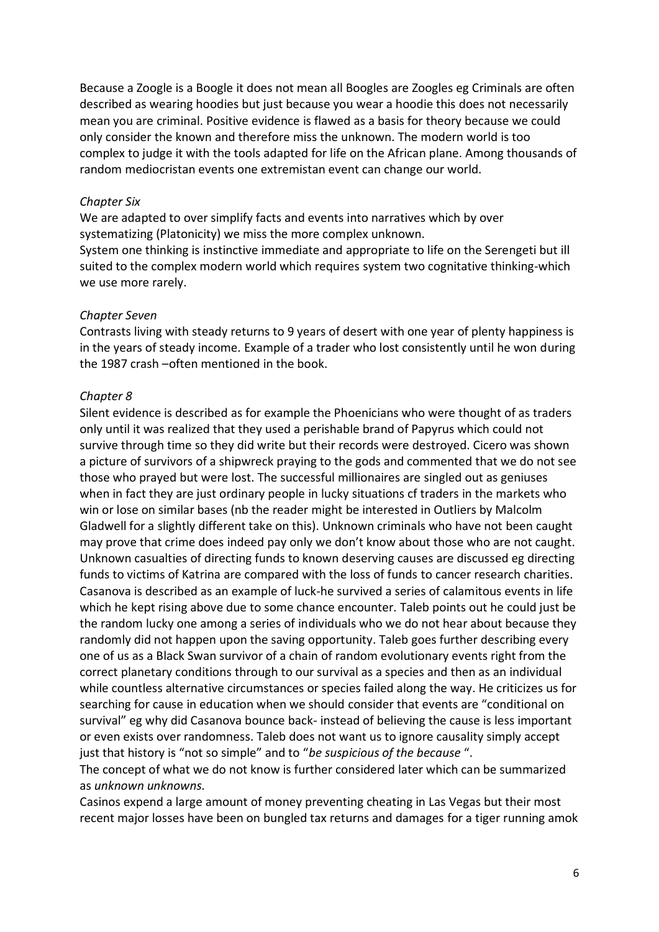Because a Zoogle is a Boogle it does not mean all Boogles are Zoogles eg Criminals are often described as wearing hoodies but just because you wear a hoodie this does not necessarily mean you are criminal. Positive evidence is flawed as a basis for theory because we could only consider the known and therefore miss the unknown. The modern world is too complex to judge it with the tools adapted for life on the African plane. Among thousands of random mediocristan events one extremistan event can change our world.

#### *Chapter Six*

We are adapted to over simplify facts and events into narratives which by over systematizing (Platonicity) we miss the more complex unknown. System one thinking is instinctive immediate and appropriate to life on the Serengeti but ill suited to the complex modern world which requires system two cognitative thinking-which we use more rarely.

#### *Chapter Seven*

Contrasts living with steady returns to 9 years of desert with one year of plenty happiness is in the years of steady income. Example of a trader who lost consistently until he won during the 1987 crash –often mentioned in the book.

#### *Chapter 8*

Silent evidence is described as for example the Phoenicians who were thought of as traders only until it was realized that they used a perishable brand of Papyrus which could not survive through time so they did write but their records were destroyed. Cicero was shown a picture of survivors of a shipwreck praying to the gods and commented that we do not see those who prayed but were lost. The successful millionaires are singled out as geniuses when in fact they are just ordinary people in lucky situations cf traders in the markets who win or lose on similar bases (nb the reader might be interested in Outliers by Malcolm Gladwell for a slightly different take on this). Unknown criminals who have not been caught may prove that crime does indeed pay only we don't know about those who are not caught. Unknown casualties of directing funds to known deserving causes are discussed eg directing funds to victims of Katrina are compared with the loss of funds to cancer research charities. Casanova is described as an example of luck-he survived a series of calamitous events in life which he kept rising above due to some chance encounter. Taleb points out he could just be the random lucky one among a series of individuals who we do not hear about because they randomly did not happen upon the saving opportunity. Taleb goes further describing every one of us as a Black Swan survivor of a chain of random evolutionary events right from the correct planetary conditions through to our survival as a species and then as an individual while countless alternative circumstances or species failed along the way. He criticizes us for searching for cause in education when we should consider that events are "conditional on survival" eg why did Casanova bounce back- instead of believing the cause is less important or even exists over randomness. Taleb does not want us to ignore causality simply accept just that history is "not so simple" and to "*be suspicious of the because* ".

The concept of what we do not know is further considered later which can be summarized as *unknown unknowns.* 

Casinos expend a large amount of money preventing cheating in Las Vegas but their most recent major losses have been on bungled tax returns and damages for a tiger running amok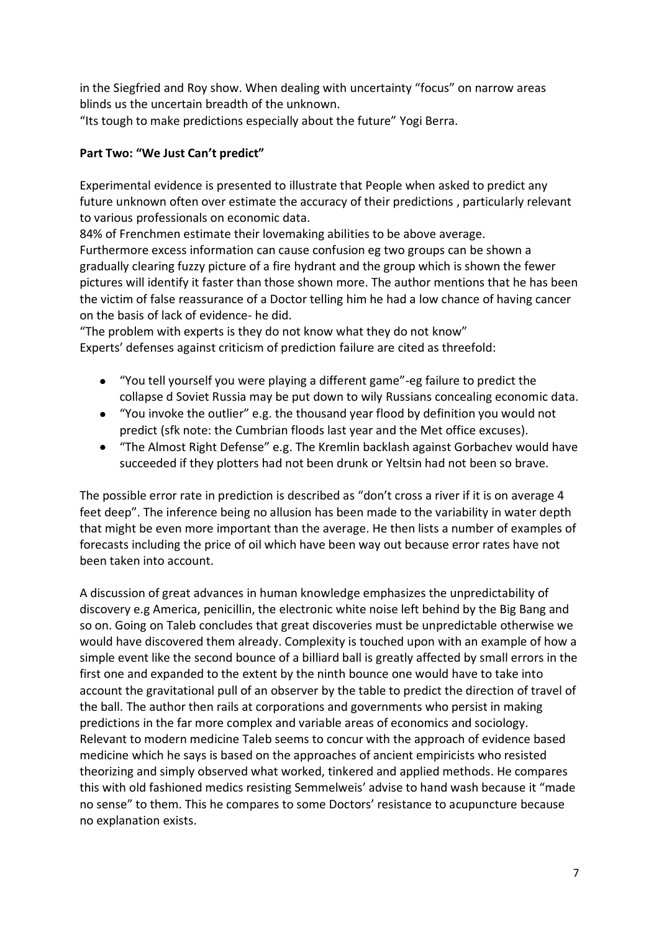in the Siegfried and Roy show. When dealing with uncertainty "focus" on narrow areas blinds us the uncertain breadth of the unknown. "Its tough to make predictions especially about the future" Yogi Berra.

## **Part Two: "We Just Can't predict"**

Experimental evidence is presented to illustrate that People when asked to predict any future unknown often over estimate the accuracy of their predictions , particularly relevant to various professionals on economic data.

84% of Frenchmen estimate their lovemaking abilities to be above average. Furthermore excess information can cause confusion eg two groups can be shown a gradually clearing fuzzy picture of a fire hydrant and the group which is shown the fewer pictures will identify it faster than those shown more. The author mentions that he has been the victim of false reassurance of a Doctor telling him he had a low chance of having cancer on the basis of lack of evidence- he did.

"The problem with experts is they do not know what they do not know" Experts' defenses against criticism of prediction failure are cited as threefold:

- "You tell yourself you were playing a different game"-eg failure to predict the  $\bullet$ collapse d Soviet Russia may be put down to wily Russians concealing economic data.
- "You invoke the outlier" e.g. the thousand year flood by definition you would not predict (sfk note: the Cumbrian floods last year and the Met office excuses).
- "The Almost Right Defense" e.g. The Kremlin backlash against Gorbachev would have succeeded if they plotters had not been drunk or Yeltsin had not been so brave.

The possible error rate in prediction is described as "don't cross a river if it is on average 4 feet deep". The inference being no allusion has been made to the variability in water depth that might be even more important than the average. He then lists a number of examples of forecasts including the price of oil which have been way out because error rates have not been taken into account.

A discussion of great advances in human knowledge emphasizes the unpredictability of discovery e.g America, penicillin, the electronic white noise left behind by the Big Bang and so on. Going on Taleb concludes that great discoveries must be unpredictable otherwise we would have discovered them already. Complexity is touched upon with an example of how a simple event like the second bounce of a billiard ball is greatly affected by small errors in the first one and expanded to the extent by the ninth bounce one would have to take into account the gravitational pull of an observer by the table to predict the direction of travel of the ball. The author then rails at corporations and governments who persist in making predictions in the far more complex and variable areas of economics and sociology. Relevant to modern medicine Taleb seems to concur with the approach of evidence based medicine which he says is based on the approaches of ancient empiricists who resisted theorizing and simply observed what worked, tinkered and applied methods. He compares this with old fashioned medics resisting Semmelweis' advise to hand wash because it "made no sense" to them. This he compares to some Doctors' resistance to acupuncture because no explanation exists.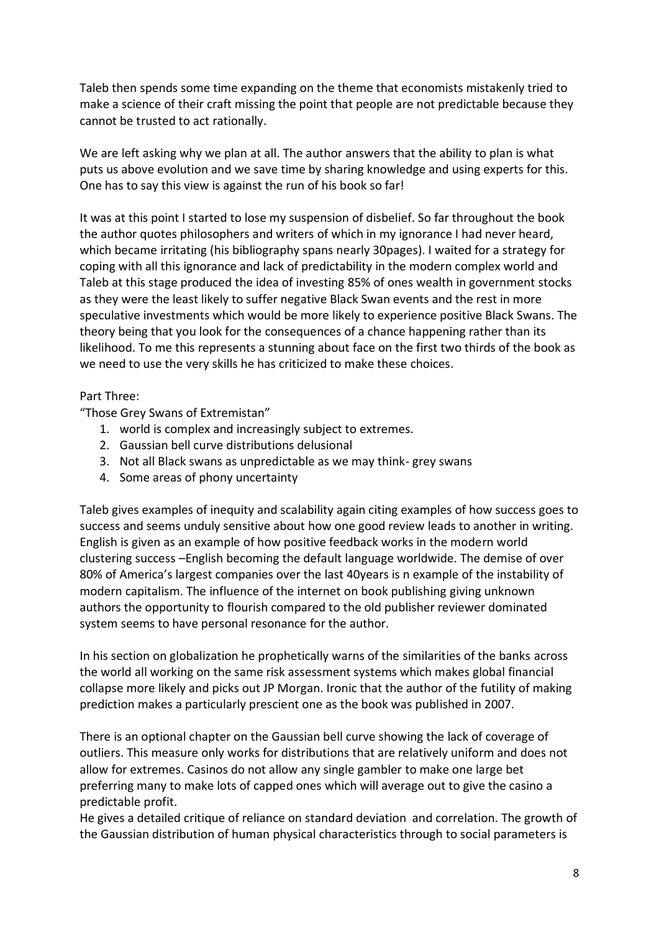Taleb then spends some time expanding on the theme that economists mistakenly tried to make a science of their craft missing the point that people are not predictable because they cannot be trusted to act rationally.

We are left asking why we plan at all. The author answers that the ability to plan is what puts us above evolution and we save time by sharing knowledge and using experts for this. One has to say this view is against the run of his book so far!

It was at this point I started to lose my suspension of disbelief. So far throughout the book the author quotes philosophers and writers of which in my ignorance I had never heard, which became irritating (his bibliography spans nearly 30pages). I waited for a strategy for coping with all this ignorance and lack of predictability in the modern complex world and Taleb at this stage produced the idea of investing 85% of ones wealth in government stocks as they were the least likely to suffer negative Black Swan events and the rest in more speculative investments which would be more likely to experience positive Black Swans. The theory being that you look for the consequences of a chance happening rather than its likelihood. To me this represents a stunning about face on the first two thirds of the book as we need to use the very skills he has criticized to make these choices.

### Part Three:

"Those Grey Swans of Extremistan"

- 1. world is complex and increasingly subject to extremes.
- 2. Gaussian bell curve distributions delusional
- 3. Not all Black swans as unpredictable as we may think- grey swans
- 4. Some areas of phony uncertainty

Taleb gives examples of inequity and scalability again citing examples of how success goes to success and seems unduly sensitive about how one good review leads to another in writing. English is given as an example of how positive feedback works in the modern world clustering success –English becoming the default language worldwide. The demise of over 80% of America's largest companies over the last 40years is n example of the instability of modern capitalism. The influence of the internet on book publishing giving unknown authors the opportunity to flourish compared to the old publisher reviewer dominated system seems to have personal resonance for the author.

In his section on globalization he prophetically warns of the similarities of the banks across the world all working on the same risk assessment systems which makes global financial collapse more likely and picks out JP Morgan. Ironic that the author of the futility of making prediction makes a particularly prescient one as the book was published in 2007.

There is an optional chapter on the Gaussian bell curve showing the lack of coverage of outliers. This measure only works for distributions that are relatively uniform and does not allow for extremes. Casinos do not allow any single gambler to make one large bet preferring many to make lots of capped ones which will average out to give the casino a predictable profit.

He gives a detailed critique of reliance on standard deviation and correlation. The growth of the Gaussian distribution of human physical characteristics through to social parameters is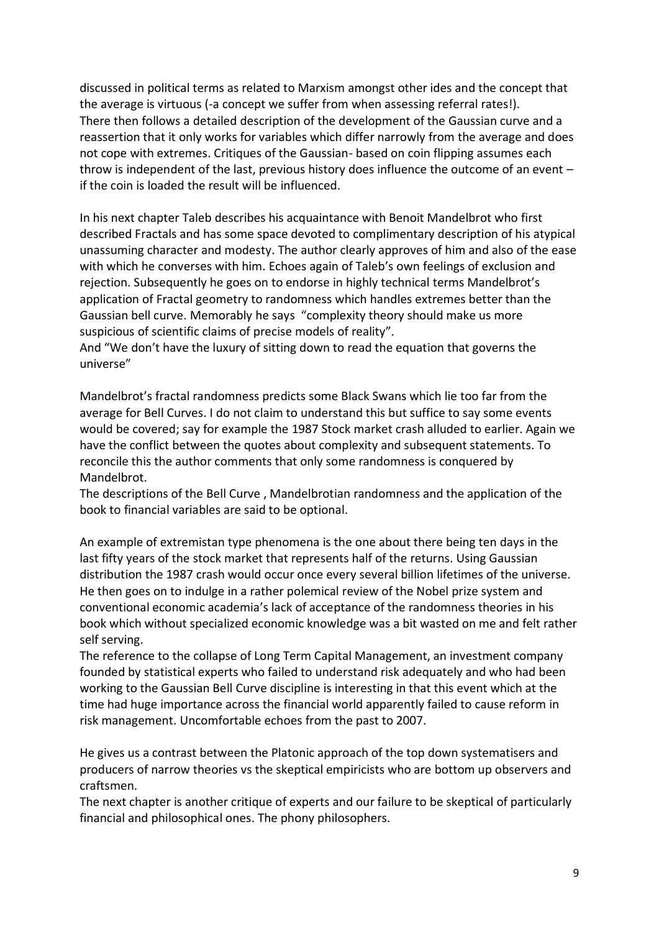discussed in political terms as related to Marxism amongst other ides and the concept that the average is virtuous (-a concept we suffer from when assessing referral rates!). There then follows a detailed description of the development of the Gaussian curve and a reassertion that it only works for variables which differ narrowly from the average and does not cope with extremes. Critiques of the Gaussian- based on coin flipping assumes each throw is independent of the last, previous history does influence the outcome of an event – if the coin is loaded the result will be influenced.

In his next chapter Taleb describes his acquaintance with Benoit Mandelbrot who first described Fractals and has some space devoted to complimentary description of his atypical unassuming character and modesty. The author clearly approves of him and also of the ease with which he converses with him. Echoes again of Taleb's own feelings of exclusion and rejection. Subsequently he goes on to endorse in highly technical terms Mandelbrot's application of Fractal geometry to randomness which handles extremes better than the Gaussian bell curve. Memorably he says "complexity theory should make us more suspicious of scientific claims of precise models of reality".

And "We don't have the luxury of sitting down to read the equation that governs the universe"

Mandelbrot's fractal randomness predicts some Black Swans which lie too far from the average for Bell Curves. I do not claim to understand this but suffice to say some events would be covered; say for example the 1987 Stock market crash alluded to earlier. Again we have the conflict between the quotes about complexity and subsequent statements. To reconcile this the author comments that only some randomness is conquered by Mandelbrot.

The descriptions of the Bell Curve , Mandelbrotian randomness and the application of the book to financial variables are said to be optional.

An example of extremistan type phenomena is the one about there being ten days in the last fifty years of the stock market that represents half of the returns. Using Gaussian distribution the 1987 crash would occur once every several billion lifetimes of the universe. He then goes on to indulge in a rather polemical review of the Nobel prize system and conventional economic academia's lack of acceptance of the randomness theories in his book which without specialized economic knowledge was a bit wasted on me and felt rather self serving.

The reference to the collapse of Long Term Capital Management, an investment company founded by statistical experts who failed to understand risk adequately and who had been working to the Gaussian Bell Curve discipline is interesting in that this event which at the time had huge importance across the financial world apparently failed to cause reform in risk management. Uncomfortable echoes from the past to 2007.

He gives us a contrast between the Platonic approach of the top down systematisers and producers of narrow theories vs the skeptical empiricists who are bottom up observers and craftsmen.

The next chapter is another critique of experts and our failure to be skeptical of particularly financial and philosophical ones. The phony philosophers.